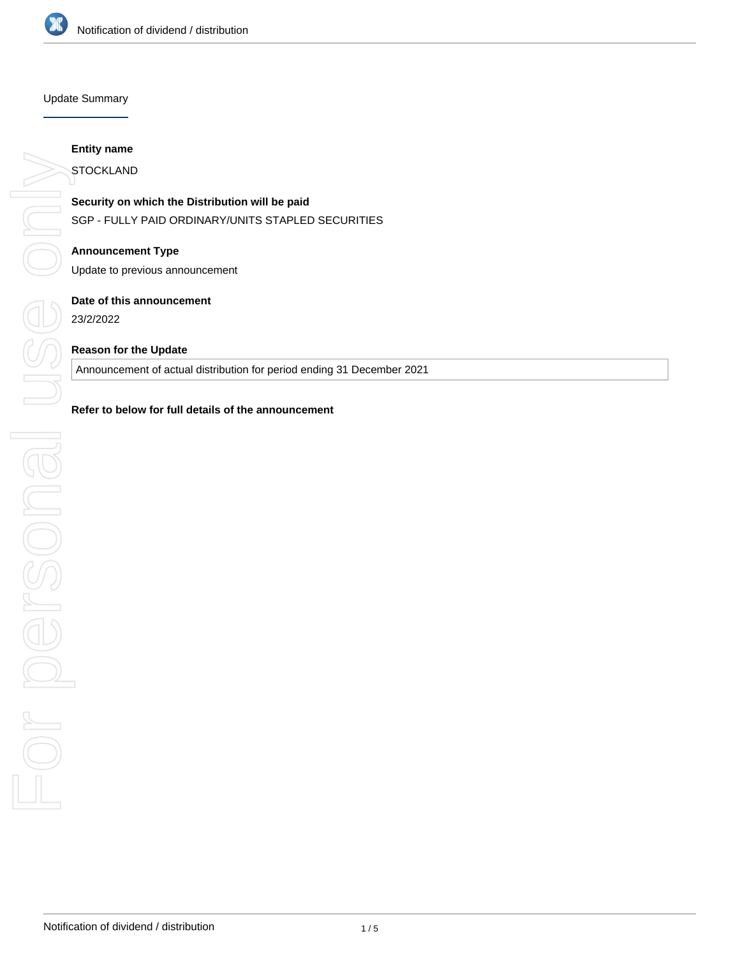

## Update Summary

## **Entity name**

**STOCKLAND** 

**Security on which the Distribution will be paid** SGP - FULLY PAID ORDINARY/UNITS STAPLED SECURITIES

**Announcement Type** Update to previous announcement

## **Date of this announcement**

23/2/2022

## **Reason for the Update**

Announcement of actual distribution for period ending 31 December 2021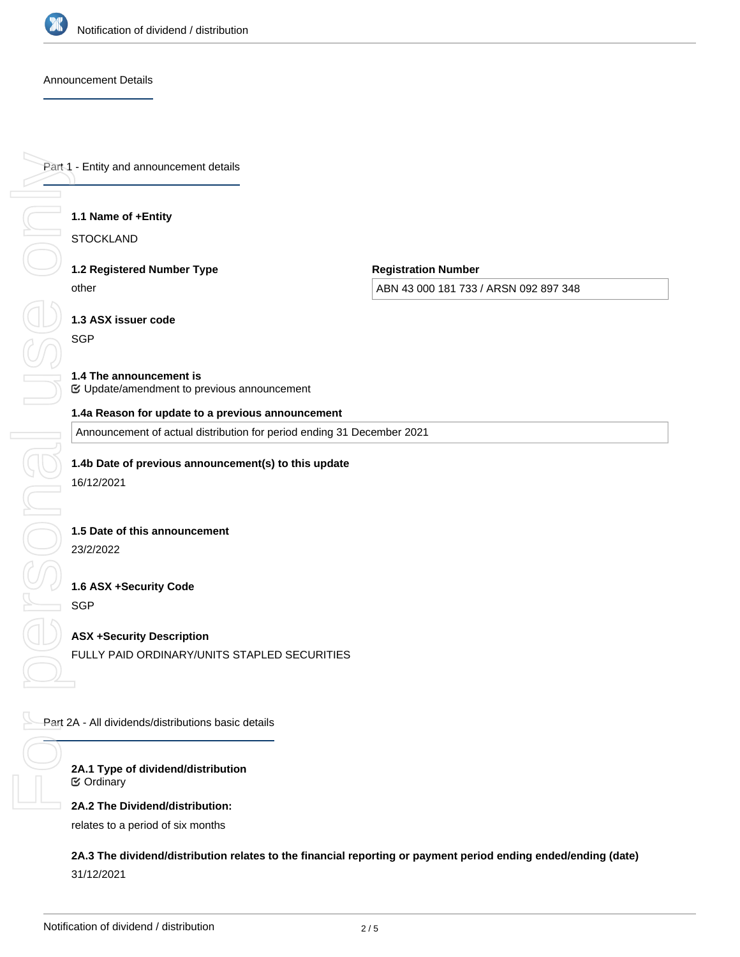

## Announcement Details

Part 1 - Entity and announcement details

## **1.1 Name of +Entity**

**STOCKLAND** 

**1.2 Registered Number Type** other

**Registration Number**

ABN 43 000 181 733 / ARSN 092 897 348

**1.3 ASX issuer code**

**SGP** 

#### **1.4 The announcement is** Update/amendment to previous announcement

## **1.4a Reason for update to a previous announcement**

Announcement of actual distribution for period ending 31 December 2021

**1.4b Date of previous announcement(s) to this update**

16/12/2021

## **1.5 Date of this announcement**

23/2/2022

## **1.6 ASX +Security Code SGP**

**ASX +Security Description** FULLY PAID ORDINARY/UNITS STAPLED SECURITIES

Part 2A - All dividends/distributions basic details

**2A.1 Type of dividend/distribution** Ordinary

**2A.2 The Dividend/distribution:**

relates to a period of six months

**2A.3 The dividend/distribution relates to the financial reporting or payment period ending ended/ending (date)** 31/12/2021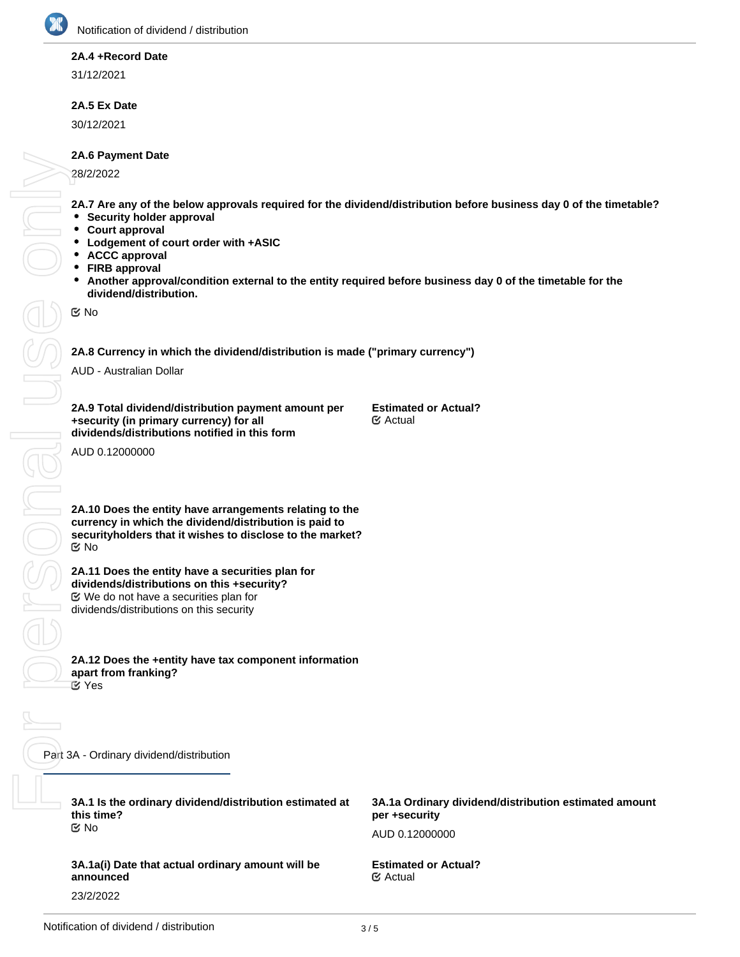## **2A.4 +Record Date**

31/12/2021

## **2A.5 Ex Date**

30/12/2021

## **2A.6 Payment Date**

28/2/2022

**2A.7 Are any of the below approvals required for the dividend/distribution before business day 0 of the timetable?**

- **•** Security holder approval
- **Court approval**
- **Lodgement of court order with +ASIC**
- **ACCC approval**
- **FIRB approval**
- $\bullet$ **Another approval/condition external to the entity required before business day 0 of the timetable for the dividend/distribution.**

No

 $\frac{1}{\sqrt{2}}$ 

## **2A.8 Currency in which the dividend/distribution is made ("primary currency")**

AUD - Australian Dollar

**2A.9 Total dividend/distribution payment amount per +security (in primary currency) for all dividends/distributions notified in this form**

**Estimated or Actual?** Actual

AUD 0.12000000

**2A.10 Does the entity have arrangements relating to the currency in which the dividend/distribution is paid to securityholders that it wishes to disclose to the market?** No

**2A.11 Does the entity have a securities plan for dividends/distributions on this +security?** We do not have a securities plan for dividends/distributions on this security

**2A.12 Does the +entity have tax component information apart from franking? Yes** 

Part 3A - Ordinary dividend/distribution FORSONAL USE ONLY

**3A.1 Is the ordinary dividend/distribution estimated at this time?** No

**3A.1a(i) Date that actual ordinary amount will be announced** 23/2/2022

**3A.1a Ordinary dividend/distribution estimated amount per +security** AUD 0.12000000

**Estimated or Actual?** Actual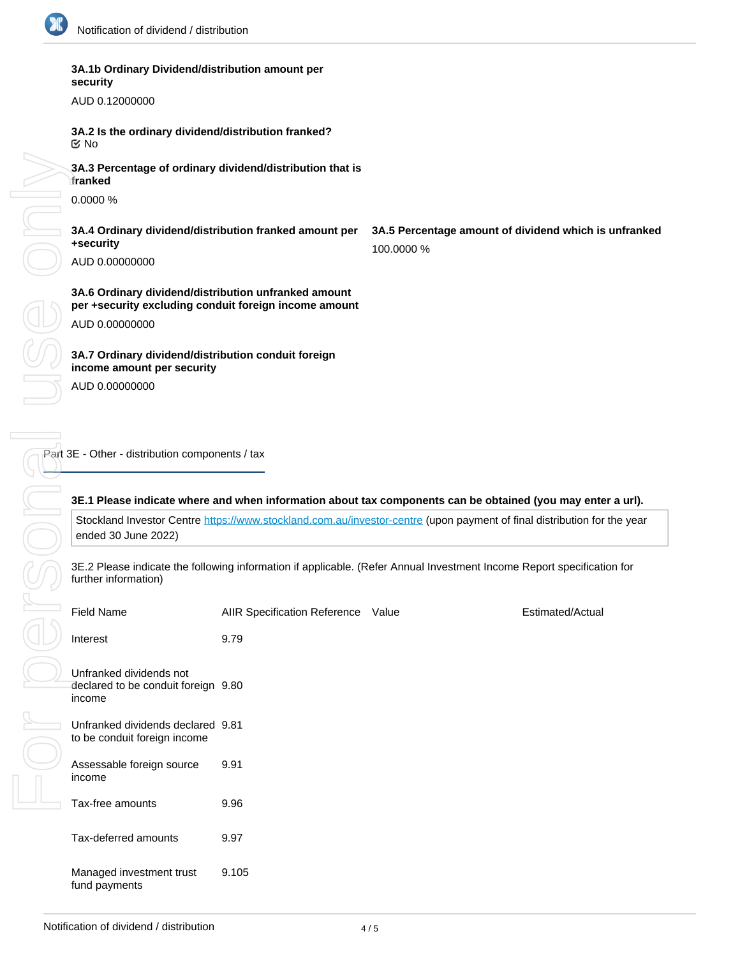

**security**

**3A.1b Ordinary Dividend/distribution amount per**

# AUD 0.12000000 **3A.2 Is the ordinary dividend/distribution franked? 3A.3 Percentage of ordinary dividend/distribution that is franked** 0.0000 % **3A.4 Ordinary dividend/distribution franked amount per +security** AUD 0.00000000 **3A.5 Percentage amount of dividend which is unfranked** 100.0000 % **3A.6 Ordinary dividend/distribution unfranked amount per +security excluding conduit foreign income amount** AUD 0.00000000 **3A.7 Ordinary dividend/distribution conduit foreign income amount per security** AUD 0.00000000 No

Part 3E - Other - distribution components / tax

## **3E.1 Please indicate where and when information about tax components can be obtained (you may enter a url).**

Stockland Investor Centre <https://www.stockland.com.au/investor-centre>(upon payment of final distribution for the year ended 30 June 2022)

3E.2 Please indicate the following information if applicable. (Refer Annual Investment Income Report specification for further information)

| <b>Field Name</b>                                                        | <b>AIIR Specification Reference</b> | Value | Estimated/Actual |
|--------------------------------------------------------------------------|-------------------------------------|-------|------------------|
| Interest                                                                 | 9.79                                |       |                  |
| Unfranked dividends not<br>declared to be conduit foreign 9.80<br>income |                                     |       |                  |
| Unfranked dividends declared 9.81<br>to be conduit foreign income        |                                     |       |                  |
| Assessable foreign source<br>income                                      | 9.91                                |       |                  |
| Tax-free amounts                                                         | 9.96                                |       |                  |
| Tax-deferred amounts                                                     | 9.97                                |       |                  |
| Managed investment trust<br>fund payments                                | 9.105                               |       |                  |